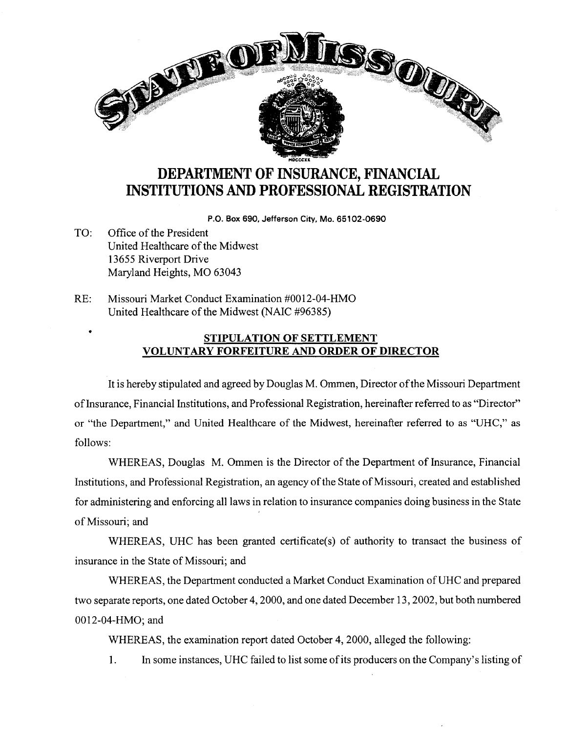

## **DEPARTMENT OF INSURANCE, FINANCIAL INSTITUTIONS AND PROFESSIONAL REGISTRATION**

**P.O. Box 690, Jefferson City, Mo. 65102-0690** 

- TO: Office of the President United Healthcare of the Midwest 13655 Riverport Drive Maryland Heights, MO 63043
- RE: Missouri Market Conduct Examination #0012-04-HMO United Healthcare of the Midwest (NAIC #96385)

## • **STIPULATION OF SETTLEMENT VOLUNTARY FORFEITURE AND ORDER OF DIRECTOR**

It is hereby stipulated and agreed by Douglas M. Ommen, Director of the Missouri Department oflnsurance, Financial Institutions, and Professional Registration, hereinafter referred to as "Director" or "the Department," and United Healthcare of the Midwest, hereinafter referred to as "UHC," as follows:

WHEREAS, Douglas M. Ommen is the Director of the Department of Insurance, Financial Institutions, and Professional Registration, an agency of the State of Missouri, created and established for administering and enforcing all laws in relation to insurance companies doing business in the State of Missouri; and

WHEREAS, UHC has been granted certificate(s) of authority to transact the business of insurance in the State of Missouri; and

WHEREAS, the Department conducted a Market Conduct Examination ofUHC and prepared two separate reports, one dated October 4, 2000, and one dated December 13, 2002, but both numbered 0012-04-HMO; and

WHEREAS, the examination report dated October 4, 2000, alleged the following:

1. In some instances, UHC failed to list some of its producers on the Company's listing of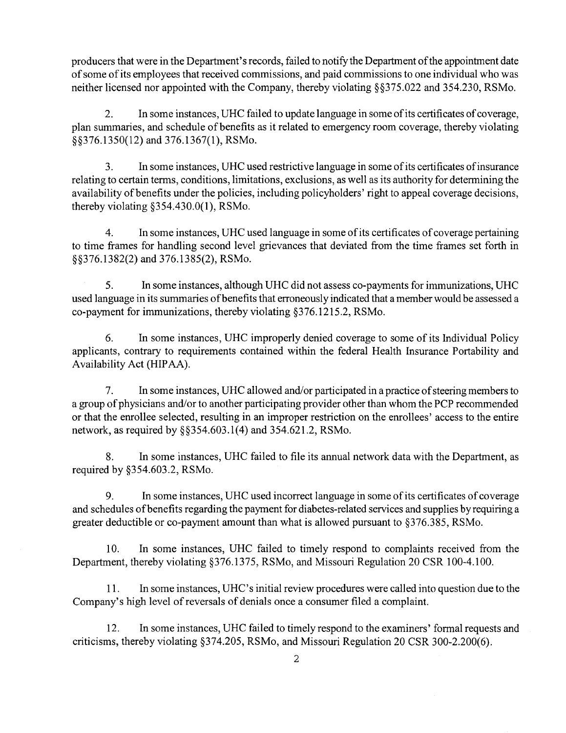producers that were in the Department's records, failed to notify the Department of the appointment date of some of its employees that received commissions, and paid commissions to one individual who was neither licensed nor appointed with the Company, thereby violating §§375.022 and 354.230, RSMo.

2. In some instances, UHC failed to update language in some of its certificates of coverage, plan summaries, and schedule of benefits as it related to emergency room coverage, thereby violating §§376.1350(12) and 376.1367(1), RSMo.

3. In some instances, UHC used restrictive language in some ofits certificates ofinsurance relating to certain terms, conditions, limitations, exclusions, as well as its authority for determining the availability of benefits under the policies, including policyholders' right to appeal coverage decisions, thereby violating §354.430.0(1), RSMo.

4. In some instances, UHC used language in some of its certificates of coverage pertaining to time frames for handling second level grievances that deviated from the time frames set forth in §§376.1382(2) and 376.1385(2), RSMo.

5. In some instances, although UHC did not assess co-payments for immunizations, UHC used language in its summaries of benefits that erroneously indicated that a member would be assessed a co-payment for immunizations, thereby violating §376.1215.2, RSMo.

6. In some instances, UHC improperly denied coverage to some of its Individual Policy applicants, contrary to requirements contained within the federal Health Insurance Portability and Availability Act (HIPAA).

7. In some instances, UHC allowed and/or participated in a practice of steering members to a group of physicians and/or to another participating provider other than whom the PCP recommended or that the enrollee selected, resulting in an improper restriction on the enrollees' access to the entire network, as required by §§354.603.1(4) and 354.621.2, RSMo.

8. In some instances, UHC failed to file its annual network data with the Department, as required by §354.603.2, RSMo.

9. In some instances, UHC used incorrect language in some of its certificates of coverage and schedules of benefits regarding the payment for diabetes-related services and supplies by requiring a greater deductible or co-payment amount than what is allowed pursuant to §376.385, RSMo.

10. In some instances, UHC failed to timely respond to complaints received from the Department, thereby violating §376.1375, RSMo, and Missouri Regulation 20 CSR 100-4.100.

11. In some instances, UHC's initial review procedures were called into question due to the Company's high level of reversals of denials once a consumer filed a complaint.

12. In some instances, UHC failed to timely respond to the examiners' formal requests and criticisms, thereby violating §374.205, RSMo, and Missouri Regulation 20 CSR 300-2.200(6).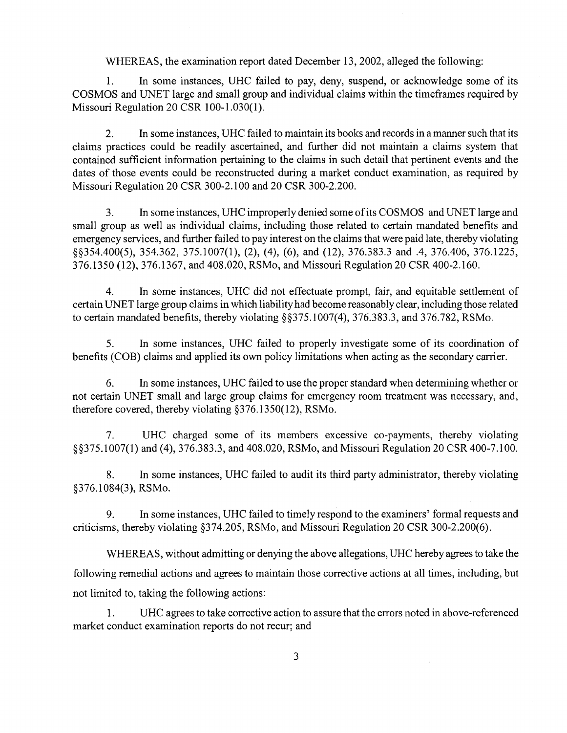## WHEREAS, the examination report dated December 13, 2002, alleged the following:

1. In some instances, UHC failed to pay, deny, suspend, or acknowledge some of its COSMOS and UNET large and small group and individual claims within the timeframes required by Missouri Regulation 20 CSR 100-1.030(1).

2. In some instances, UHC failed to maintain its books and records in a manner such that its claims practices could be readily ascertained, and further did not maintain a claims system that contained sufficient information pertaining to the claims in such detail that pertinent events and the dates of those events could be reconstructed during a market conduct examination, as required by Missouri Regulation 20 CSR 300-2.100 and 20 CSR 300-2.200.

3. In some instances, UHC improperly denied some ofits COSMOS and UNET large and small group as well as individual claims, including those related to certain mandated benefits and emergency services, and further failed to pay interest on the claims that were paid late, thereby violating §§354.400(5), 354.362, 375.1007(1), (2), (4), (6), and (12), 376.383.3 and .4, 376.406, 376.1225, 376.1350 (12), 376.1367, and 408.020, RSMo, and Missouri Regulation 20 CSR 400-2.160.

4. In some instances, UHC did not effectuate prompt, fair, and equitable settlement of certain UNET large group claims in which liability had become reasonably clear, including those related to certain mandated benefits, thereby violating §§375.1007(4), 376.383.3, and 376.782, RSMo.

5. In some instances, UHC failed to properly investigate some of its coordination of benefits (COB) claims and applied its own policy limitations when acting as the secondary carrier.

6. In some instances, UHC failed to use the proper standard when determining whether or not certain UNET small and large group claims for emergency room treatment was necessary, and, therefore covered, thereby violating §376.1350(12), RSMo.

7. UHC charged some of its members excessive co-payments, thereby violating §§375.1007(1) and (4), 376.383.3, and 408.020, RSMo, and Missouri Regulation 20 CSR 400-7.100.

8. In some instances, UHC failed to audit its third party administrator, thereby violating §376.1084(3), RSMo.

9. In some instances, UHC failed to timely respond to the examiners' formal requests and criticisms, thereby violating §374.205, RSMo, and Missouri Regulation 20 CSR 300-2.200(6).

WHEREAS, without admitting or denying the above allegations, UHC hereby agrees to take the following remedial actions and agrees to maintain those corrective actions at all times, including, but not limited to, taking the following actions:

1. UHC agrees to take corrective action to assure that the errors noted in above-referenced market conduct examination reports do not recur; and